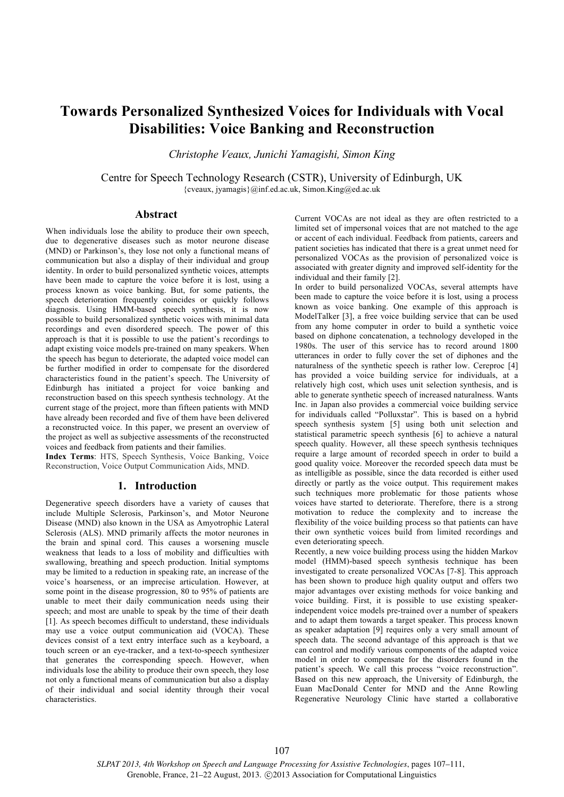# **Towards Personalized Synthesized Voices for Individuals with Vocal Disabilities: Voice Banking and Reconstruction**

*Christophe Veaux, Junichi Yamagishi, Simon King*

Centre for Speech Technology Research (CSTR), University of Edinburgh, UK  ${cveaux, iyamagis}$   $@inf. ed.ac.uk, Simon.King@ed.ac.uk$ 

## **Abstract**

When individuals lose the ability to produce their own speech, due to degenerative diseases such as motor neurone disease (MND) or Parkinson's, they lose not only a functional means of communication but also a display of their individual and group identity. In order to build personalized synthetic voices, attempts have been made to capture the voice before it is lost, using a process known as voice banking. But, for some patients, the speech deterioration frequently coincides or quickly follows diagnosis. Using HMM-based speech synthesis, it is now possible to build personalized synthetic voices with minimal data recordings and even disordered speech. The power of this approach is that it is possible to use the patient's recordings to adapt existing voice models pre-trained on many speakers. When the speech has begun to deteriorate, the adapted voice model can be further modified in order to compensate for the disordered characteristics found in the patient's speech. The University of Edinburgh has initiated a project for voice banking and reconstruction based on this speech synthesis technology. At the current stage of the project, more than fifteen patients with MND have already been recorded and five of them have been delivered a reconstructed voice. In this paper, we present an overview of the project as well as subjective assessments of the reconstructed voices and feedback from patients and their families.

**Index Terms**: HTS, Speech Synthesis, Voice Banking, Voice Reconstruction, Voice Output Communication Aids, MND.

## **1. Introduction**

Degenerative speech disorders have a variety of causes that include Multiple Sclerosis, Parkinson's, and Motor Neurone Disease (MND) also known in the USA as Amyotrophic Lateral Sclerosis (ALS). MND primarily affects the motor neurones in the brain and spinal cord. This causes a worsening muscle weakness that leads to a loss of mobility and difficulties with swallowing, breathing and speech production. Initial symptoms may be limited to a reduction in speaking rate, an increase of the voice's hoarseness, or an imprecise articulation. However, at some point in the disease progression, 80 to 95% of patients are unable to meet their daily communication needs using their speech; and most are unable to speak by the time of their death [1]. As speech becomes difficult to understand, these individuals may use a voice output communication aid (VOCA). These devices consist of a text entry interface such as a keyboard, a touch screen or an eye-tracker, and a text-to-speech synthesizer that generates the corresponding speech. However, when individuals lose the ability to produce their own speech, they lose not only a functional means of communication but also a display of their individual and social identity through their vocal characteristics.

Current VOCAs are not ideal as they are often restricted to a limited set of impersonal voices that are not matched to the age or accent of each individual. Feedback from patients, careers and patient societies has indicated that there is a great unmet need for personalized VOCAs as the provision of personalized voice is associated with greater dignity and improved self-identity for the individual and their family [2].

In order to build personalized VOCAs, several attempts have been made to capture the voice before it is lost, using a process known as voice banking. One example of this approach is ModelTalker [3], a free voice building service that can be used from any home computer in order to build a synthetic voice based on diphone concatenation, a technology developed in the 1980s. The user of this service has to record around 1800 utterances in order to fully cover the set of diphones and the naturalness of the synthetic speech is rather low. Cereproc [4] has provided a voice building service for individuals, at a relatively high cost, which uses unit selection synthesis, and is able to generate synthetic speech of increased naturalness. Wants Inc. in Japan also provides a commercial voice building service for individuals called "Polluxstar". This is based on a hybrid speech synthesis system [5] using both unit selection and statistical parametric speech synthesis [6] to achieve a natural speech quality. However, all these speech synthesis techniques require a large amount of recorded speech in order to build a good quality voice. Moreover the recorded speech data must be as intelligible as possible, since the data recorded is either used directly or partly as the voice output. This requirement makes such techniques more problematic for those patients whose voices have started to deteriorate. Therefore, there is a strong motivation to reduce the complexity and to increase the flexibility of the voice building process so that patients can have their own synthetic voices build from limited recordings and even deteriorating speech.

Recently, a new voice building process using the hidden Markov model (HMM)-based speech synthesis technique has been investigated to create personalized VOCAs [7-8]. This approach has been shown to produce high quality output and offers two major advantages over existing methods for voice banking and voice building. First, it is possible to use existing speakerindependent voice models pre-trained over a number of speakers and to adapt them towards a target speaker. This process known as speaker adaptation [9] requires only a very small amount of speech data. The second advantage of this approach is that we can control and modify various components of the adapted voice model in order to compensate for the disorders found in the patient's speech. We call this process "voice reconstruction". Based on this new approach, the University of Edinburgh, the Euan MacDonald Center for MND and the Anne Rowling Regenerative Neurology Clinic have started a collaborative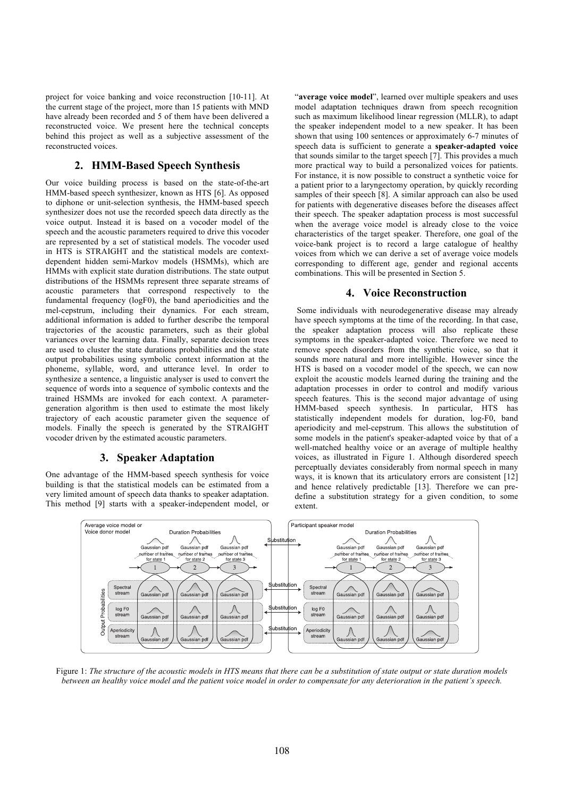project for voice banking and voice reconstruction [10-11]. At the current stage of the project, more than 15 patients with MND have already been recorded and 5 of them have been delivered a reconstructed voice. We present here the technical concepts behind this project as well as a subjective assessment of the reconstructed voices.

## **2. HMM-Based Speech Synthesis**

Our voice building process is based on the state-of-the-art HMM-based speech synthesizer, known as HTS [6]. As opposed to diphone or unit-selection synthesis, the HMM-based speech synthesizer does not use the recorded speech data directly as the voice output. Instead it is based on a vocoder model of the speech and the acoustic parameters required to drive this vocoder are represented by a set of statistical models. The vocoder used in HTS is STRAIGHT and the statistical models are contextdependent hidden semi-Markov models (HSMMs), which are HMMs with explicit state duration distributions. The state output distributions of the HSMMs represent three separate streams of acoustic parameters that correspond respectively to the fundamental frequency (logF0), the band aperiodicities and the mel-cepstrum, including their dynamics. For each stream, additional information is added to further describe the temporal trajectories of the acoustic parameters, such as their global variances over the learning data. Finally, separate decision trees are used to cluster the state durations probabilities and the state output probabilities using symbolic context information at the phoneme, syllable, word, and utterance level. In order to synthesize a sentence, a linguistic analyser is used to convert the sequence of words into a sequence of symbolic contexts and the trained HSMMs are invoked for each context. A parametergeneration algorithm is then used to estimate the most likely trajectory of each acoustic parameter given the sequence of models. Finally the speech is generated by the STRAIGHT vocoder driven by the estimated acoustic parameters.

## **3. Speaker Adaptation**

One advantage of the HMM-based speech synthesis for voice building is that the statistical models can be estimated from a very limited amount of speech data thanks to speaker adaptation. This method [9] starts with a speaker-independent model, or "**average voice model**", learned over multiple speakers and uses model adaptation techniques drawn from speech recognition such as maximum likelihood linear regression (MLLR), to adapt the speaker independent model to a new speaker. It has been shown that using 100 sentences or approximately 6-7 minutes of speech data is sufficient to generate a **speaker-adapted voice** that sounds similar to the target speech [7]. This provides a much more practical way to build a personalized voices for patients. For instance, it is now possible to construct a synthetic voice for a patient prior to a laryngectomy operation, by quickly recording samples of their speech [8]. A similar approach can also be used for patients with degenerative diseases before the diseases affect their speech. The speaker adaptation process is most successful when the average voice model is already close to the voice characteristics of the target speaker. Therefore, one goal of the voice-bank project is to record a large catalogue of healthy voices from which we can derive a set of average voice models corresponding to different age, gender and regional accents combinations. This will be presented in Section 5.

## **4. Voice Reconstruction**

Some individuals with neurodegenerative disease may already have speech symptoms at the time of the recording. In that case, the speaker adaptation process will also replicate these symptoms in the speaker-adapted voice. Therefore we need to remove speech disorders from the synthetic voice, so that it sounds more natural and more intelligible. However since the HTS is based on a vocoder model of the speech, we can now exploit the acoustic models learned during the training and the adaptation processes in order to control and modify various speech features. This is the second major advantage of using HMM-based speech synthesis. In particular, HTS has statistically independent models for duration, log-F0, band aperiodicity and mel-cepstrum. This allows the substitution of some models in the patient's speaker-adapted voice by that of a well-matched healthy voice or an average of multiple healthy voices, as illustrated in Figure 1. Although disordered speech perceptually deviates considerably from normal speech in many ways, it is known that its articulatory errors are consistent [12] and hence relatively predictable [13]. Therefore we can predefine a substitution strategy for a given condition, to some extent.



Figure 1: *The structure of the acoustic models in HTS means that there can be a substitution of state output or state duration models between an healthy voice model and the patient voice model in order to compensate for any deterioration in the patient's speech.*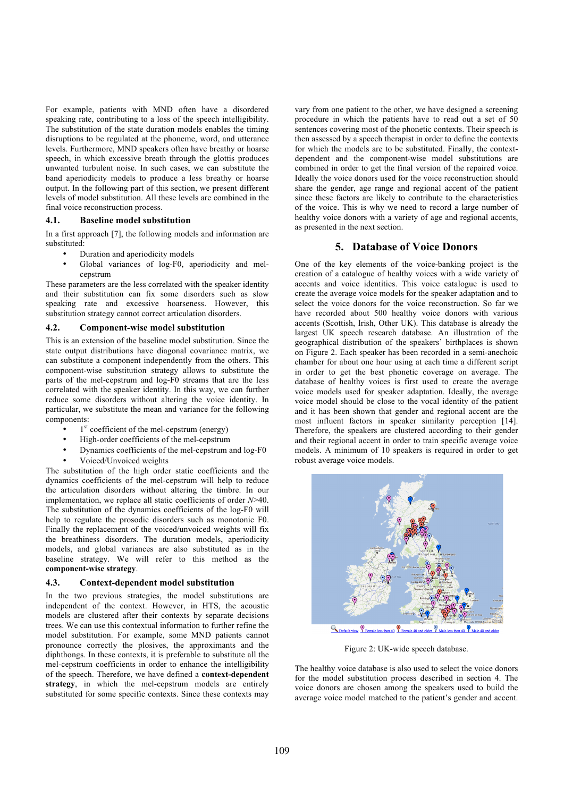For example, patients with MND often have a disordered speaking rate, contributing to a loss of the speech intelligibility. The substitution of the state duration models enables the timing disruptions to be regulated at the phoneme, word, and utterance levels. Furthermore, MND speakers often have breathy or hoarse speech, in which excessive breath through the glottis produces unwanted turbulent noise. In such cases, we can substitute the band aperiodicity models to produce a less breathy or hoarse output. In the following part of this section, we present different levels of model substitution. All these levels are combined in the final voice reconstruction process.

#### **4.1. Baseline model substitution**

In a first approach [7], the following models and information are substituted:

- Duration and aperiodicity models
- Global variances of log-F0, aperiodicity and melcepstrum

These parameters are the less correlated with the speaker identity and their substitution can fix some disorders such as slow speaking rate and excessive hoarseness. However, this substitution strategy cannot correct articulation disorders.

## **4.2. Component-wise model substitution**

This is an extension of the baseline model substitution. Since the state output distributions have diagonal covariance matrix, we can substitute a component independently from the others. This component-wise substitution strategy allows to substitute the parts of the mel-cepstrum and log-F0 streams that are the less correlated with the speaker identity. In this way, we can further reduce some disorders without altering the voice identity. In particular, we substitute the mean and variance for the following components:

- $\bullet$  1<sup>st</sup> coefficient of the mel-cepstrum (energy)
- High-order coefficients of the mel-cepstrum
- Dynamics coefficients of the mel-cepstrum and log-F0
- Voiced/Unvoiced weights

The substitution of the high order static coefficients and the dynamics coefficients of the mel-cepstrum will help to reduce the articulation disorders without altering the timbre. In our implementation, we replace all static coefficients of order *N*>40. The substitution of the dynamics coefficients of the log-F0 will help to regulate the prosodic disorders such as monotonic F0. Finally the replacement of the voiced/unvoiced weights will fix the breathiness disorders. The duration models, aperiodicity models, and global variances are also substituted as in the baseline strategy. We will refer to this method as the **component-wise strategy**.

#### **4.3. Context-dependent model substitution**

In the two previous strategies, the model substitutions are independent of the context. However, in HTS, the acoustic models are clustered after their contexts by separate decisions trees. We can use this contextual information to further refine the model substitution. For example, some MND patients cannot pronounce correctly the plosives, the approximants and the diphthongs. In these contexts, it is preferable to substitute all the mel-cepstrum coefficients in order to enhance the intelligibility of the speech. Therefore, we have defined a **context-dependent strategy**, in which the mel-cepstrum models are entirely substituted for some specific contexts. Since these contexts may vary from one patient to the other, we have designed a screening procedure in which the patients have to read out a set of 50 sentences covering most of the phonetic contexts. Their speech is then assessed by a speech therapist in order to define the contexts for which the models are to be substituted. Finally, the contextdependent and the component-wise model substitutions are combined in order to get the final version of the repaired voice. Ideally the voice donors used for the voice reconstruction should share the gender, age range and regional accent of the patient since these factors are likely to contribute to the characteristics of the voice. This is why we need to record a large number of healthy voice donors with a variety of age and regional accents, as presented in the next section.

#### **5. Database of Voice Donors**

One of the key elements of the voice-banking project is the creation of a catalogue of healthy voices with a wide variety of accents and voice identities. This voice catalogue is used to create the average voice models for the speaker adaptation and to select the voice donors for the voice reconstruction. So far we have recorded about 500 healthy voice donors with various accents (Scottish, Irish, Other UK). This database is already the largest UK speech research database. An illustration of the geographical distribution of the speakers' birthplaces is shown on Figure 2. Each speaker has been recorded in a semi-anechoic chamber for about one hour using at each time a different script in order to get the best phonetic coverage on average. The database of healthy voices is first used to create the average voice models used for speaker adaptation. Ideally, the average voice model should be close to the vocal identity of the patient and it has been shown that gender and regional accent are the most influent factors in speaker similarity perception [14]. Therefore, the speakers are clustered according to their gender and their regional accent in order to train specific average voice models. A minimum of 10 speakers is required in order to get robust average voice models.



**Q** Default view **P** Female less than 40 **P** Female 40 and older **P** 

Figure 2: UK-wide speech database.

The healthy voice database is also used to select the voice donors for the model substitution process described in section 4. The voice donors are chosen among the speakers used to build the average voice model matched to the patient's gender and accent.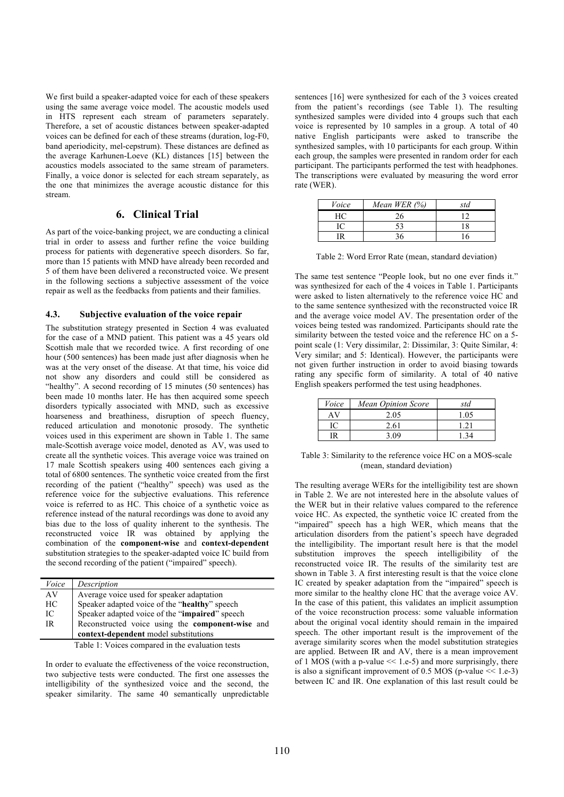We first build a speaker-adapted voice for each of these speakers using the same average voice model. The acoustic models used in HTS represent each stream of parameters separately. Therefore, a set of acoustic distances between speaker-adapted voices can be defined for each of these streams (duration, log-F0, band aperiodicity, mel-cepstrum). These distances are defined as the average Karhunen-Loeve (KL) distances [15] between the acoustics models associated to the same stream of parameters. Finally, a voice donor is selected for each stream separately, as the one that minimizes the average acoustic distance for this stream.

# **6. Clinical Trial**

As part of the voice-banking project, we are conducting a clinical trial in order to assess and further refine the voice building process for patients with degenerative speech disorders. So far, more than 15 patients with MND have already been recorded and 5 of them have been delivered a reconstructed voice. We present in the following sections a subjective assessment of the voice repair as well as the feedbacks from patients and their families.

#### **4.3. Subjective evaluation of the voice repair**

The substitution strategy presented in Section 4 was evaluated for the case of a MND patient. This patient was a 45 years old Scottish male that we recorded twice. A first recording of one hour (500 sentences) has been made just after diagnosis when he was at the very onset of the disease. At that time, his voice did not show any disorders and could still be considered as "healthy". A second recording of 15 minutes (50 sentences) has been made 10 months later. He has then acquired some speech disorders typically associated with MND, such as excessive hoarseness and breathiness, disruption of speech fluency, reduced articulation and monotonic prosody. The synthetic voices used in this experiment are shown in Table 1. The same male-Scottish average voice model, denoted as AV, was used to create all the synthetic voices. This average voice was trained on 17 male Scottish speakers using 400 sentences each giving a total of 6800 sentences. The synthetic voice created from the first recording of the patient ("healthy" speech) was used as the reference voice for the subjective evaluations. This reference voice is referred to as HC. This choice of a synthetic voice as reference instead of the natural recordings was done to avoid any bias due to the loss of quality inherent to the synthesis. The reconstructed voice IR was obtained by applying the combination of the **component-wise** and **context-dependent**  substitution strategies to the speaker-adapted voice IC build from the second recording of the patient ("impaired" speech).

| Voice                                            | Description                                      |  |  |
|--------------------------------------------------|--------------------------------------------------|--|--|
| AV                                               | Average voice used for speaker adaptation        |  |  |
| HС                                               | Speaker adapted voice of the "healthy" speech    |  |  |
| IC                                               | Speaker adapted voice of the "impaired" speech   |  |  |
| IR                                               | Reconstructed voice using the component-wise and |  |  |
|                                                  | context-dependent model substitutions            |  |  |
| Table 1: Voices compared in the evaluation toots |                                                  |  |  |

Table 1: Voices compared in the evaluation tests

In order to evaluate the effectiveness of the voice reconstruction, two subjective tests were conducted. The first one assesses the intelligibility of the synthesized voice and the second, the speaker similarity. The same 40 semantically unpredictable sentences [16] were synthesized for each of the 3 voices created from the patient's recordings (see Table 1). The resulting synthesized samples were divided into 4 groups such that each voice is represented by 10 samples in a group. A total of 40 native English participants were asked to transcribe the synthesized samples, with 10 participants for each group. Within each group, the samples were presented in random order for each participant. The participants performed the test with headphones. The transcriptions were evaluated by measuring the word error rate (WER).

| Voice | Mean WER $(\%)$ | std |
|-------|-----------------|-----|
| HС    | 76              |     |
|       |                 | 18  |
|       |                 |     |

Table 2: Word Error Rate (mean, standard deviation)

The same test sentence "People look, but no one ever finds it." was synthesized for each of the 4 voices in Table 1. Participants were asked to listen alternatively to the reference voice HC and to the same sentence synthesized with the reconstructed voice IR and the average voice model AV. The presentation order of the voices being tested was randomized. Participants should rate the similarity between the tested voice and the reference HC on a 5 point scale (1: Very dissimilar, 2: Dissimilar, 3: Quite Similar, 4: Very similar; and 5: Identical). However, the participants were not given further instruction in order to avoid biasing towards rating any specific form of similarity. A total of 40 native English speakers performed the test using headphones.

| Voice | <b>Mean Opinion Score</b> | std  |
|-------|---------------------------|------|
|       | 2.05                      | 1.05 |
|       | 2.61                      | 121  |
|       |                           |      |

Table 3: Similarity to the reference voice HC on a MOS-scale (mean, standard deviation)

The resulting average WERs for the intelligibility test are shown in Table 2. We are not interested here in the absolute values of the WER but in their relative values compared to the reference voice HC. As expected, the synthetic voice IC created from the "impaired" speech has a high WER, which means that the articulation disorders from the patient's speech have degraded the intelligibility. The important result here is that the model substitution improves the speech intelligibility of the reconstructed voice IR. The results of the similarity test are shown in Table 3. A first interesting result is that the voice clone IC created by speaker adaptation from the "impaired" speech is more similar to the healthy clone HC that the average voice AV. In the case of this patient, this validates an implicit assumption of the voice reconstruction process: some valuable information about the original vocal identity should remain in the impaired speech. The other important result is the improvement of the average similarity scores when the model substitution strategies are applied. Between IR and AV, there is a mean improvement of 1 MOS (with a p-value  $\le$  1.e-5) and more surprisingly, there is also a significant improvement of 0.5 MOS (p-value << 1.e-3) between IC and IR. One explanation of this last result could be